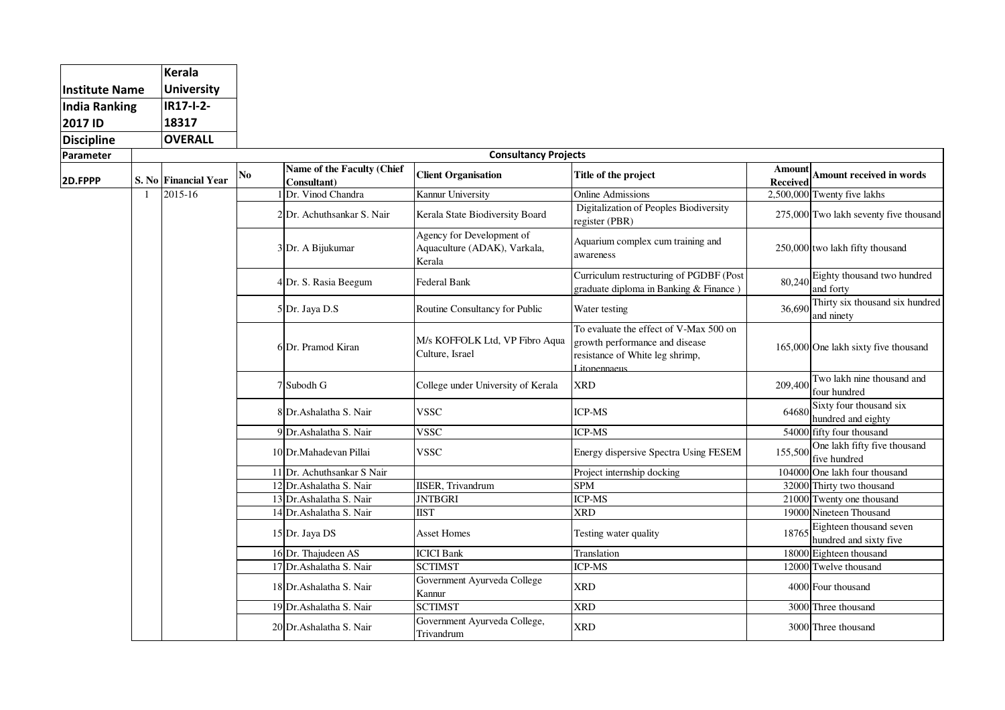| <b>Institute Name</b><br><b>India Ranking</b><br>2017 ID<br><b>Discipline</b> |                | <b>Kerala</b>        |          |                            |                                                                     |                                                                                                                             |                 |                                                   |  |
|-------------------------------------------------------------------------------|----------------|----------------------|----------|----------------------------|---------------------------------------------------------------------|-----------------------------------------------------------------------------------------------------------------------------|-----------------|---------------------------------------------------|--|
|                                                                               |                | <b>University</b>    |          |                            |                                                                     |                                                                                                                             |                 |                                                   |  |
|                                                                               |                | <b>IR17-I-2-</b>     |          |                            |                                                                     |                                                                                                                             |                 |                                                   |  |
|                                                                               |                | 18317                |          |                            |                                                                     |                                                                                                                             |                 |                                                   |  |
|                                                                               |                | <b>OVERALL</b>       |          |                            |                                                                     |                                                                                                                             |                 |                                                   |  |
| Parameter                                                                     |                |                      |          |                            |                                                                     |                                                                                                                             |                 |                                                   |  |
| <b>Consultancy Projects</b><br>Name of the Faculty (Chief                     |                |                      |          |                            |                                                                     | Amount                                                                                                                      |                 |                                                   |  |
| 2D.FPPP                                                                       |                | S. No Financial Year | $\bf No$ | Consultant)                | <b>Client Organisation</b>                                          | Title of the project                                                                                                        | <b>Received</b> | Amount received in words                          |  |
|                                                                               | $\overline{1}$ | 2015-16              |          | 1 Dr. Vinod Chandra        | Kannur University                                                   | <b>Online Admissions</b>                                                                                                    |                 | 2,500,000 Twenty five lakhs                       |  |
|                                                                               |                |                      |          | 2Dr. Achuthsankar S. Nair  | Kerala State Biodiversity Board                                     | Digitalization of Peoples Biodiversity<br>register (PBR)                                                                    |                 | 275,000 Two lakh seventy five thousand            |  |
|                                                                               |                |                      |          | 3 Dr. A Bijukumar          | Agency for Development of<br>Aquaculture (ADAK), Varkala,<br>Kerala | Aquarium complex cum training and<br>awareness                                                                              |                 | 250,000 two lakh fifty thousand                   |  |
|                                                                               |                |                      |          | 4 Dr. S. Rasia Beegum      | Federal Bank                                                        | Curriculum restructuring of PGDBF (Post<br>graduate diploma in Banking & Finance)                                           | 80,240          | Eighty thousand two hundred<br>and forty          |  |
|                                                                               |                |                      |          | 5 Dr. Jaya D.S             | Routine Consultancy for Public                                      | Water testing                                                                                                               | 36,690          | Thirty six thousand six hundred<br>and ninety     |  |
|                                                                               |                |                      |          | 6Dr. Pramod Kiran          | M/s KOFFOLK Ltd, VP Fibro Aqua<br>Culture, Israel                   | To evaluate the effect of V-Max 500 on<br>growth performance and disease<br>resistance of White leg shrimp,<br>Litopennaeus |                 | 165,000 One lakh sixty five thousand              |  |
|                                                                               |                |                      |          | 7 Subodh G                 | College under University of Kerala                                  | <b>XRD</b>                                                                                                                  | 209,400         | Two lakh nine thousand and<br>four hundred        |  |
|                                                                               |                |                      |          | 8Dr. Ashalatha S. Nair     | <b>VSSC</b>                                                         | <b>ICP-MS</b>                                                                                                               | 64680           | Sixty four thousand six<br>hundred and eighty     |  |
|                                                                               |                |                      |          | 9 Dr. Ashalatha S. Nair    | <b>VSSC</b>                                                         | <b>ICP-MS</b>                                                                                                               |                 | 54000 fifty four thousand                         |  |
|                                                                               |                |                      |          | 10 Dr.Mahadevan Pillai     | <b>VSSC</b>                                                         | Energy dispersive Spectra Using FESEM                                                                                       | 155,500         | One lakh fifty five thousand<br>five hundred      |  |
|                                                                               |                |                      |          | 11 Dr. Achuthsankar S Nair |                                                                     | Project internship docking                                                                                                  |                 | 104000 One lakh four thousand                     |  |
|                                                                               |                |                      |          | 12 Dr. Ashalatha S. Nair   | <b>IISER</b> , Trivandrum                                           | <b>SPM</b>                                                                                                                  |                 | 32000 Thirty two thousand                         |  |
|                                                                               |                |                      |          | 13 Dr. Ashalatha S. Nair   | <b>JNTBGRI</b>                                                      | <b>ICP-MS</b>                                                                                                               |                 | 21000 Twenty one thousand                         |  |
|                                                                               |                |                      |          | 14 Dr. Ashalatha S. Nair   | <b>IIST</b>                                                         | <b>XRD</b>                                                                                                                  |                 | 19000 Nineteen Thousand                           |  |
|                                                                               |                |                      |          | 15 Dr. Jaya DS             | <b>Asset Homes</b>                                                  | Testing water quality                                                                                                       | 18765           | Eighteen thousand seven<br>hundred and sixty five |  |
|                                                                               |                |                      |          | 16 Dr. Thajudeen AS        | <b>ICICI Bank</b>                                                   | Translation                                                                                                                 |                 | 18000 Eighteen thousand                           |  |
|                                                                               |                |                      |          | 17 Dr. Ashalatha S. Nair   | <b>SCTIMST</b>                                                      | <b>ICP-MS</b>                                                                                                               |                 | 12000 Twelve thousand                             |  |
|                                                                               |                |                      |          | 18 Dr. Ashalatha S. Nair   | Government Ayurveda College<br>Kannur                               | <b>XRD</b>                                                                                                                  |                 | 4000 Four thousand                                |  |
|                                                                               |                |                      |          | 19 Dr. Ashalatha S. Nair   | <b>SCTIMST</b>                                                      | <b>XRD</b>                                                                                                                  |                 | 3000 Three thousand                               |  |
|                                                                               |                |                      |          | 20 Dr. Ashalatha S. Nair   | Government Ayurveda College,<br>Trivandrum                          | <b>XRD</b>                                                                                                                  |                 | 3000 Three thousand                               |  |